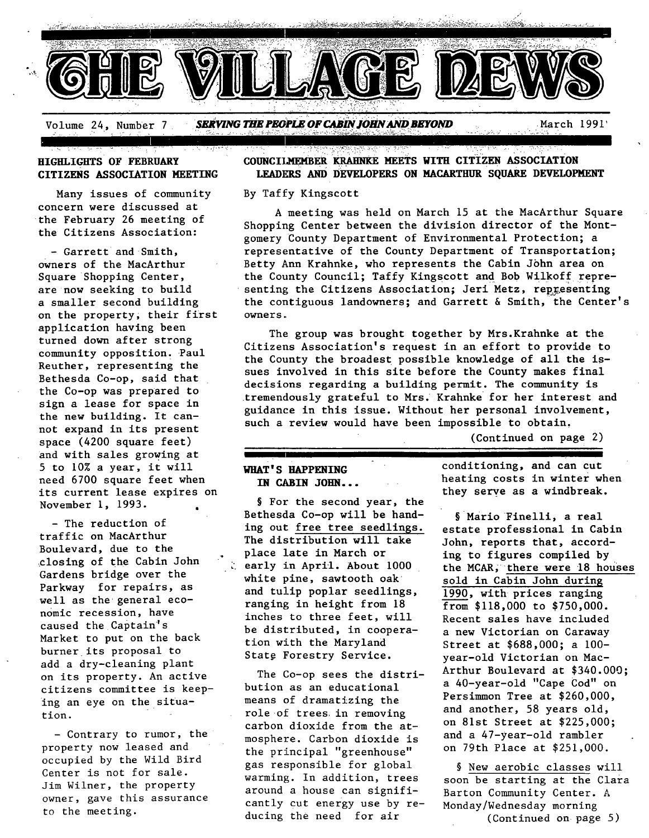

# **HIGHLIGHTS OF FEBRUARY CITIZENS ASSOCIATION MEETING**

Many issues of community concern were discussed at the February 26 meeting of the Citizens Association:

**-** Garrett and Smith, owners of the MacArthur Square Shopping Center, are now seeking to build a smaller second building on the property; their first application having been turned down after strong community opposition. Paul Reuther, representing the Bethesda Co-op, said that the Co-op was prepared to sign a lease for space in the new building. It cannot expand in its present space (4200 square feet) and with sales growing at 5 to 10% a year, it will need 6700 square feet when its current lease expires on November i, 1993.

- The reduction of traffic on MacArthur Boulevard, due to the closlng of the Cabin John Gardens bridge over the Parkway for repairs, as well as the general economic recession, have caused the Captain's Market to put on the back burner its proposal to add a dry-cleaning plant on its property. An active citizens committee is keeping an eye on the situation.

- Contrary to rumor, the property now leased and occupied by the Wild Bird Center is not for sale. Jim Wilner, the property owner, gave this assurance to the meeting.

# **COUNCILMEMBER KRAHNKE MEETS WITH CITIZEN ASSOCIATION LEADERS AND DEVELOPERS ON MACARTHUR SQUARE DEVELOPMENT**

#### By Taffy Kingscott

A meeting was held on March 15 at the MacArthur Square Shopping Center between the division director of the Montgomery County Department of Environmental Protection; a representative of the County Department of Transportation; Betty Ann Krahnke, who represents the Cabin John area on the County Council; Taffy Kingscott and Bob Wilkoff representing the Citizens Association; Jeri Metz, representing the contiguous landowners; and Garrett & Smith, the Center's owners.

The group was brought together by Mrs.Krahnke at the Citizens Association's request in an effort to provide to the County the broadest possible knowledge of all the issues involved in this site before the County makes final decisions regarding a building permit. The community is tremendously grateful to Mrs. Krahnke for her interest and guidance in this issue. Without her personal involvement, such a review would have been impossible to obtain,

(Continued on page 2)

# **WHAT'S HAPPENING IN CABIN JOHN...** •

**.** 

§ For the second year, the Bethesda Co-op will be handing out free tree seedlings. The distribution will take place late in March or  $\zeta$  early in April. About 1000 white pine, sawtooth oak and tulip poplar seedlings, ranging in height from 18 inches to three feet, will be distributed, in cooperation with the Maryland State Forestry Service.

The Co-op sees the distribution as an educational means of dramatizing the role of trees in removing carbon dioxide from the atmosphere. Carbon dioxide is the principal "greenhouse" gas responsible for global warming. In addition, trees around a house can significantly cut energy use by reducing the need for air

conditioning, and can cut heating costs in winter when they serve as a windbreak.

§ Mario Finelli, a real estate professional in Cabin John, reports that, according to figures compiled by the MCAR, there were 18 houses sold in Cabin John during 1990, with prices ranging from \$118,000 to \$750,000. Recent sales have included a new Victorian on Caraway Street at \$688,000; a 100 year-old Victorian on Mac-Arthur Boulevard at \$340.000; a 40-year-old "Cape Cod" on Persimmon Tree at \$260,000, and another, 58 years old, on 81st Street at \$225,000; and a 47-year-old rambler on 79th Place at \$251,000.

§ New aerobic classes will soon be starting at the clara Barton Community Center. A Monday/Wednesday morning (Continued on page 5)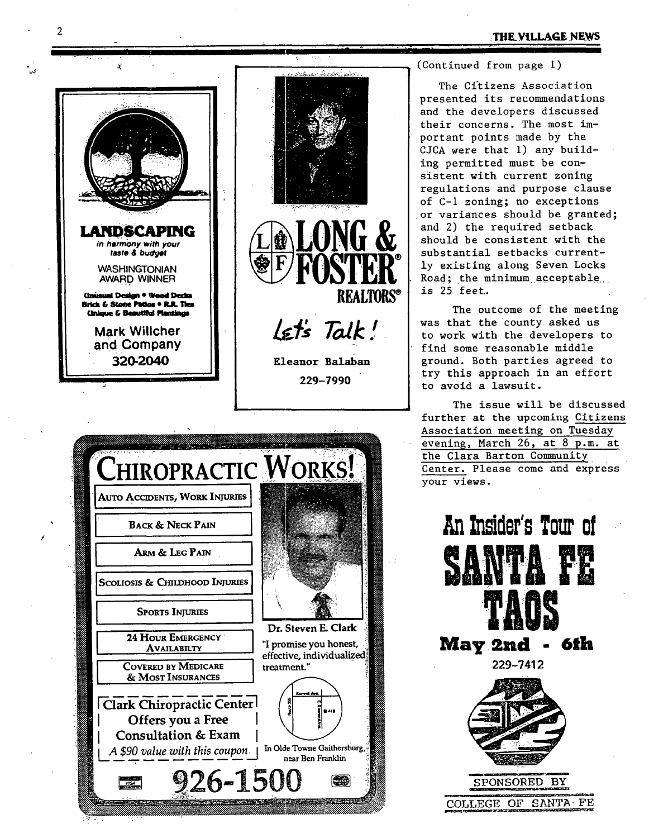**THE VILLAGE NEWS** 

(Continued from page i)

**• I I I** 

The Citizens Association presented its recommendations and the developers discussed their concerns. The most important points made by the CJCA were that i) any building permitted must be consistent with current zoning regulations and purpose clause of C-I zoning; no exceptions or variances should be granted; and 2) the required setback should be consistent with the substantial setbacks currently existing along Seven Locks Road; the minimum acceptable is 25 feet..

The outcome of the meeting was that the county asked us to work with the developers to find some reasonable middle ground. Both parties agreed to try this approach in an effort to avoid a lawsuit.

The issue will be discussed further at the upcoming Citizens Association meeting on Tuesday evening, March 26, at 8 p.m. at the Clara Barton Community Center. Please come and express your views.





'11 .... II **" .** " X





229-7990

يجود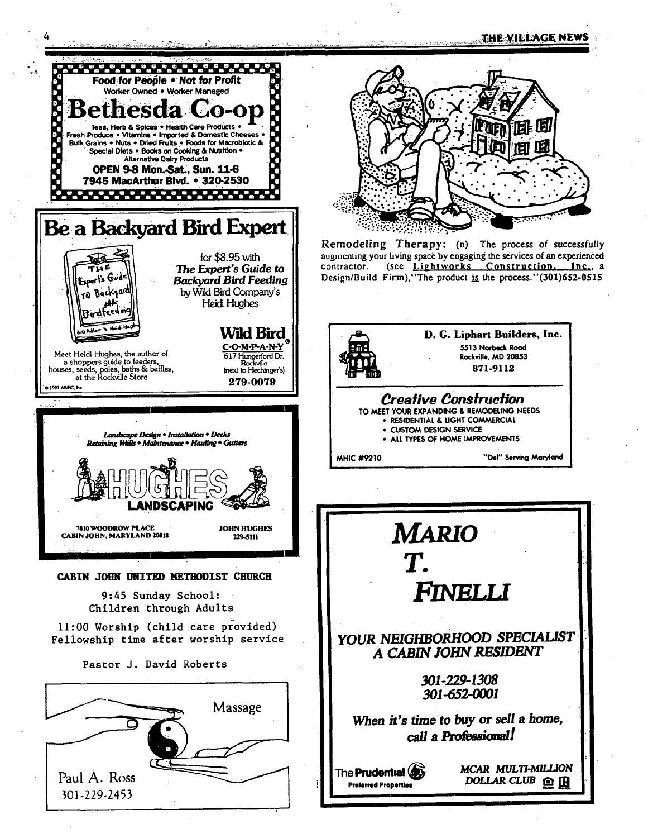Æ

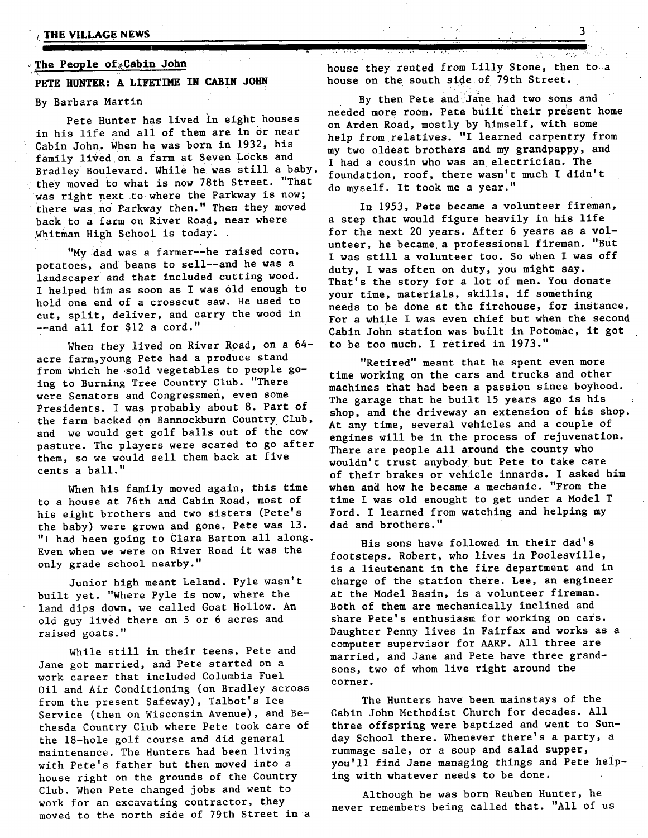#### **, The People of:~Cabln John**

# **PETE HUNTER: A LIFETIME IN CABIN JOHN**

## By Barbara Martin

Pete Hunter has lived in eight houses in his life and all of them are in Or near Cabin John. When he was born in 1932, his<br>family lived on a farm at Seven Locks and family lived on a farm at Seven Locks and I had a cousin who was an electrician. The<br>Bradley Boulevard. While he was still a baby,  $E_{\text{current}} = 2.5$  there were to much I didn't they moved to what is now 78th Street. "That was right next to where the Parkway is now; there was no Parkway then." Then they moved back to a farm on River Road, near where Whitman High School is today.

"My dad was a farmer--he raised corn, potatoes, and beans to Sell--and he was a landscaper and that included cutting wood. I helped him as soon as I was 01d enough to hold one end of a crosscut saw. He used to cut, split, deliver, and carry the wood in --and all for \$12 a cord."

When they lived on River Road, on a 64acre farm,young Pete had a produce stand from Which he sold vegetables to people going to Burning Tree Country Club. "There were Senators and Congressmen, even some Presidents. I was probably about 8. Part of the farm backed on Bannockburn Country Club, and we would get golf balls out of the cow pasture. The players were scared to go after them, so we would sell them back at five cents a ball."

When his family moved again, this time to a house at 76th and Cabin Road, *most* of his eight brothers and two sisters (Pete's the baby) were grown and gone. Pete was 13. "I had been going to Clara Barton all along. Even when we were on River Road it was the only grade school nearby."

Junior high meant Leland. Pyle wasn't built yet. "Where Pyle is now, where the land dips down, we called Goat Hollow. An old guy lived there on 5 or 6 acres and raised goats."

While still in their teens, Pete and Jane got married, and Pete started on a work career that included Columbia Fuel Oil and Air Conditioning (on Bradley across from the present Safeway), Talbot's Ice Service (then on Wisconsin Avenue), and Bethesda Country Club where Pete took care of the 18-hole golf course and did general maintenance. The Hunters had been living with Pete's father but then moved into a house right on the grounds of the Country Club. When Pete changed jobs and went to work for an excavating contractor, they moved to the north side of 79th Street in a

house they rented from Lilly Stone, then to a house on the south side of 79th Street.

By then Pete and Jane had two sons and needed more room. Pete built their present home on Arden Road, mostly by himself, with some help from relatives. "I learned carpentry from my two oldest brothers and my grandpappy, and foundation, roof, there wasn't much I didn't do myself. It took me a year."

In 1953, Pete became a volunteer fireman, a step that would figure heavily in his life for the next 20 years. After 6 years as a volunteer, he became a professional fireman. "But I was still a volunteer too. So when I was off duty, I was often on duty, you might say. That's the story for a lot of men. You donate your time, materials, skills, if something needs to be done at the firehouse, for instance. For a while I was even chief but when the second Cabin John station was built in Potomac, it got to be too much. I retired in 1973."

"Retired" meant *that* he spent even more time working on the cars and trucks and other machines that had been a passion since boyhood. The garage that he built 15 years ago is his shop, and the driveway an extension of his shop. At any time, several vehicles and a couple of engines Will be in the process of rejuvenation. There are people all around the county Who wouldn't trust anybody but Pete to take care of their brakes or vehicle innards. I asked him when and how he became a mechanic. "From the time I was old enought to get under a Model T Ford. I learned from watching and helping my dad and brothers."

His sons have followed in their dad's footsteps. Robert, who lives in Poolesville, is a lieutenant in the fire department and in charge of the station there. Lee, an engineer at the Model Basin, is a volunteer fireman. Both of them are mechanically inclined and share Pete's enthusiasm for working on cars. Daughter Penny lives in Fairfax and works as a computer supervisor for AARP. All three are married, and Jane and Pete have three grandsons, two of whom live right around the corner.

The Hunters have been mainstays of the Cabin John Methodist Church for decades. All three offspring were baptized and went to Sunday School there. Whenever there's a party, a rummage sale, or a soup and salad supper, you'll find Jane managing things and Pete helping with whatever needs to be done.

Although he was born Reuben Hunter, he never remembers being called that. "All of us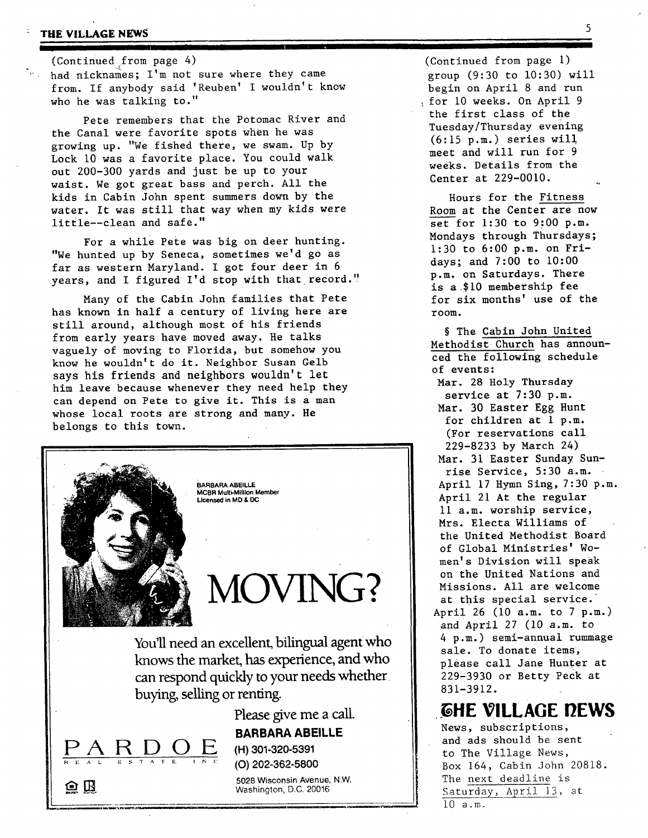## **: THE VILLAGE NEWS 5**

 $(Continued from page 4)$ had nicknames; I'm not sure where they came from. If anybody said 'Reuben' I wouldn't know who he was talking to."

**I \_ I I[ I i** 

Pete remembers that the Potomac River and the Canal were favorite spots when he was growing up. "We fished there, we swam. Up by Lock i0 was a favorite place. You could walk out 200-300 yards and just be up to your waist. We got great bass and perch. All the kids in Cabin John spent summers down by the water. It was still that way when my kids were little--clean and safe."

For a while pete was big on deer hunting. "We hunted up by Seneca, sometimes we'd go as far as western Maryland. I got four deer in 6 years, and I figured I'd stop with that record."

Many of the Cabin John families that Pete has known in half a century of living here are still around, although most of his friends from early years have moved away. He talks vaguely of moving to Florida, but somehow you know he wouldn't do it. Neighbor Susan Gelb says his friends and neighbors wouldn't let him leave because whenever they need help they can depend on Pete to give it. This is a man whose local roots are strong and many. He belongs to this town.



BARBARA **ABEILLE**  MCBR Multi-Million Member Licensed in MD & DC

**MOVING?** 

You'll need an excellent, bilingual agent who knows the market, has experience, and who can respond quickly to your needs whether buying, selling or renting.

> Please give me a call. **BARBARA ABEILLE**

E (H) 301-320-5391 (O) 202-362-5800



 $\bm{\Omega}$   $\bm{\mathbb{B}}$ 

5028 Wisconsin Avenue, N.W. Washington, D.C. 20016

(Continued from page i) group (9:30 to 10:30) will begin on April 8 and run for i0 weeks. On April 9 the first class of the Tuesday/Thursday evening  $(6:15 \text{ p.m.})$  series will meet and will run for 9 weeks. Details from the Center at 229-0010.

<u>ii</u>

Hours for the Fitness Room at the Center are now set for 1:30 to 9:00 p.m. Mondays through Thursdays; 1:30 to 6:00 p.m. on Fridays; and 7:00 to i0:00 p.m. on Saturdays. There is a .\$i0 membership fee for six months' use of the room.

§ The Cabin John United Methodist Church has announced the following schedule of events:

Mar. 28 Holy Thursday service at 7:30 p.m. Mar. 30 Easter Egg Hunt for children at 1 p.m. (For reservations call 229-8233 by March 24) Mar. 31 Easter Sunday Sunrise Service, 5:30 a.m. April 17 Hymn Sing, 7:30 p.m. April 21 At the regular ll a.m. worship service, Mrs. Electa Williams of the United Methodist Board of Global Ministries' Women' s Division will speak on the United Nations and Missions. All are welcome at this special service. April 26 (i0 a.m. to 7 p.m.) and April 27 (10 a.m. to 4 p.m.) semi-annual rummage sale. To donate items, please call Jane Hunter at 229-3930 or Betty Peck at 831-3912.

*GHE VILLAGE DEWS* 

News, subscriptions, and ads should be sent to The Village News, Box 164, Cabin John 20818. The next deadline is Saturday, April 13, at i0 a.m.

5